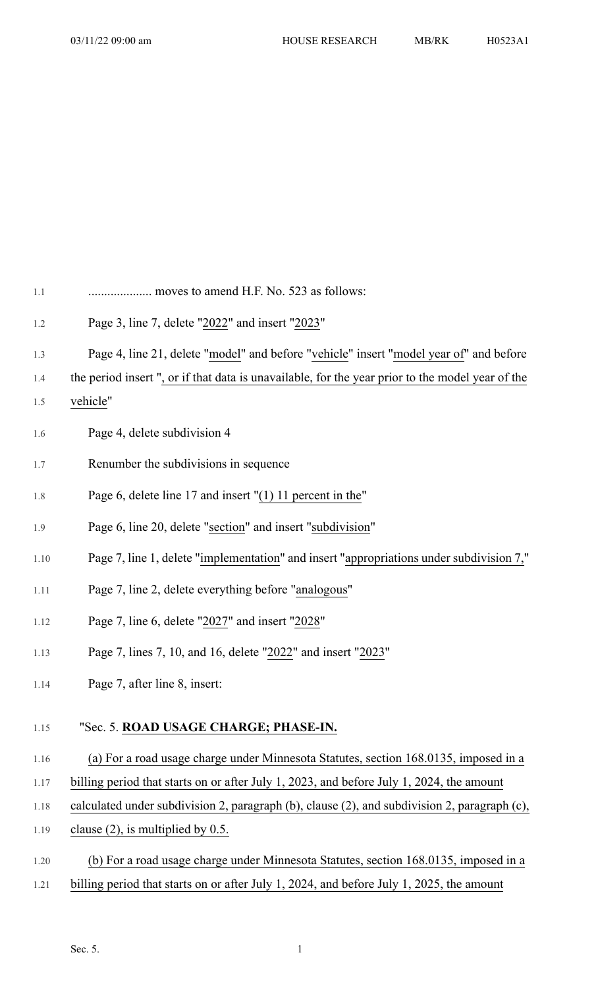| $1.1\,$ | moves to amend H.F. No. 523 as follows:                                                         |
|---------|-------------------------------------------------------------------------------------------------|
| $1.2\,$ | Page 3, line 7, delete "2022" and insert "2023"                                                 |
| 1.3     | Page 4, line 21, delete "model" and before "vehicle" insert "model year of" and before          |
| 1.4     | the period insert", or if that data is unavailable, for the year prior to the model year of the |
| $1.5\,$ | vehicle"                                                                                        |
| $1.6\,$ | Page 4, delete subdivision 4                                                                    |
| 1.7     | Renumber the subdivisions in sequence                                                           |
| $1.8\,$ | Page 6, delete line 17 and insert "(1) 11 percent in the"                                       |
| 1.9     | Page 6, line 20, delete "section" and insert "subdivision"                                      |
| 1.10    | Page 7, line 1, delete "implementation" and insert "appropriations under subdivision 7,"        |
| 1.11    | Page 7, line 2, delete everything before "analogous"                                            |
| 1.12    | Page 7, line 6, delete "2027" and insert "2028"                                                 |
| 1.13    | Page 7, lines 7, 10, and 16, delete "2022" and insert "2023"                                    |
| 1.14    | Page 7, after line 8, insert:                                                                   |
| 1.15    | "Sec. 5. ROAD USAGE CHARGE; PHASE-IN.                                                           |

## 1.16 (a) For a road usage charge under Minnesota Statutes, section 168.0135, imposed in a

- 1.17 billing period that starts on or after July 1, 2023, and before July 1, 2024, the amount
- 1.18 calculated under subdivision 2, paragraph (b), clause (2), and subdivision 2, paragraph (c),
- 1.19 clause (2), is multiplied by 0.5.
- 1.20 (b) For a road usage charge under Minnesota Statutes, section 168.0135, imposed in a
- 1.21 billing period that starts on or after July 1, 2024, and before July 1, 2025, the amount